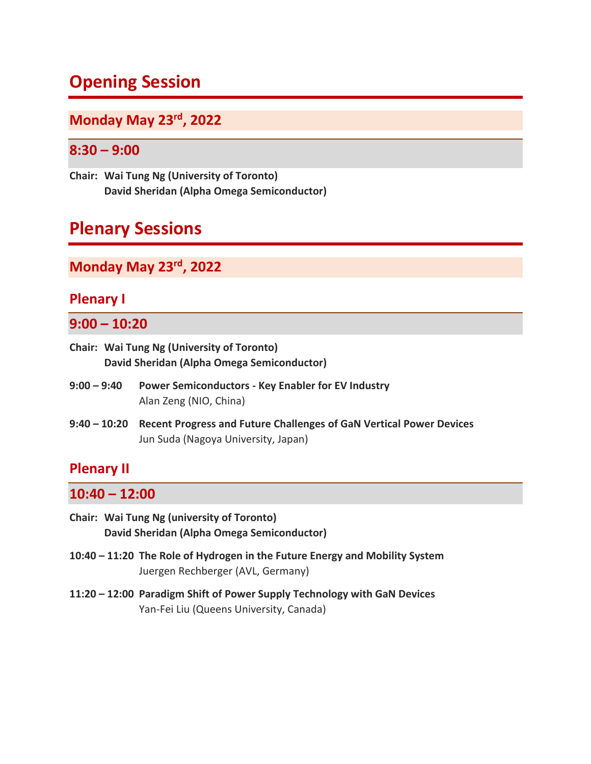# **Opening Session**

## **Monday May 23rd, 2022**

## **8:30 – 9:00**

**Chair: Wai Tung Ng (University of Toronto) David Sheridan (Alpha Omega Semiconductor)**

# **Plenary Sessions**

## **Monday May 23rd, 2022**

## **Plenary I**

## **9:00 – 10:20**

- **Chair: Wai Tung Ng (University of Toronto) David Sheridan (Alpha Omega Semiconductor)**
- **9:00 – 9:40 Power Semiconductors - Key Enabler for EV Industry** Alan Zeng (NIO, China)
- **9:40 – 10:20 Recent Progress and Future Challenges of GaN Vertical Power Devices** Jun Suda (Nagoya University, Japan)

## **Plenary II**

### **10:40 – 12:00**

- **Chair: Wai Tung Ng (university of Toronto) David Sheridan (Alpha Omega Semiconductor)**
- **10:40 – 11:20 The Role of Hydrogen in the Future Energy and Mobility System** Juergen Rechberger (AVL, Germany)
- **11:20 – 12:00 Paradigm Shift of Power Supply Technology with GaN Devices** Yan-Fei Liu (Queens University, Canada)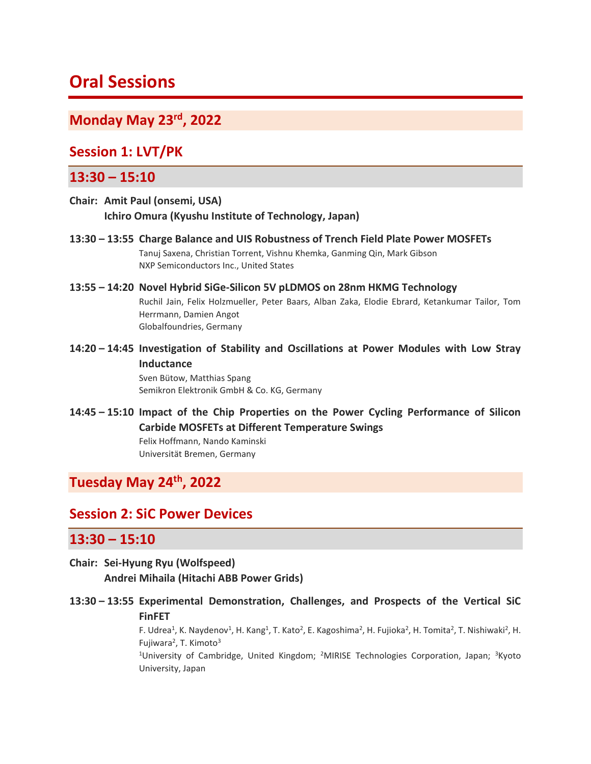# **Oral Sessions**

## **Monday May 23rd, 2022**

## **Session 1: LVT/PK**

### **13:30 – 15:10**

**Chair: Amit Paul (onsemi, USA) Ichiro Omura (Kyushu Institute of Technology, Japan)**

**13:30 – 13:55 Charge Balance and UIS Robustness of Trench Field Plate Power MOSFETs** Tanuj Saxena, Christian Torrent, Vishnu Khemka, Ganming Qin, Mark Gibson NXP Semiconductors Inc., United States

#### **13:55 – 14:20 Novel Hybrid SiGe-Silicon 5V pLDMOS on 28nm HKMG Technology** Ruchil Jain, Felix Holzmueller, Peter Baars, Alban Zaka, Elodie Ebrard, Ketankumar Tailor, Tom Herrmann, Damien Angot Globalfoundries, Germany

**14:20 – 14:45 Investigation of Stability and Oscillations at Power Modules with Low Stray Inductance** Sven Bütow, Matthias Spang

Semikron Elektronik GmbH & Co. KG, Germany

**14:45 – 15:10 Impact of the Chip Properties on the Power Cycling Performance of Silicon Carbide MOSFETs at Different Temperature Swings** Felix Hoffmann, Nando Kaminski Universität Bremen, Germany

## **Tuesday May 24th, 2022**

## **Session 2: SiC Power Devices**

### **13:30 – 15:10**

## **Chair: Sei-Hyung Ryu (Wolfspeed) Andrei Mihaila (Hitachi ABB Power Grids)**

**13:30 – 13:55 Experimental Demonstration, Challenges, and Prospects of the Vertical SiC FinFET**

> F. Udrea<sup>1</sup>, K. Naydenov<sup>1</sup>, H. Kang<sup>1</sup>, T. Kato<sup>2</sup>, E. Kagoshima<sup>2</sup>, H. Fujioka<sup>2</sup>, H. Tomita<sup>2</sup>, T. Nishiwaki<sup>2</sup>, H. Fujiwara<sup>2</sup>, T. Kimoto<sup>3</sup>

> <sup>1</sup>University of Cambridge, United Kingdom; <sup>2</sup>MIRISE Technologies Corporation, Japan; <sup>3</sup>Kyoto University, Japan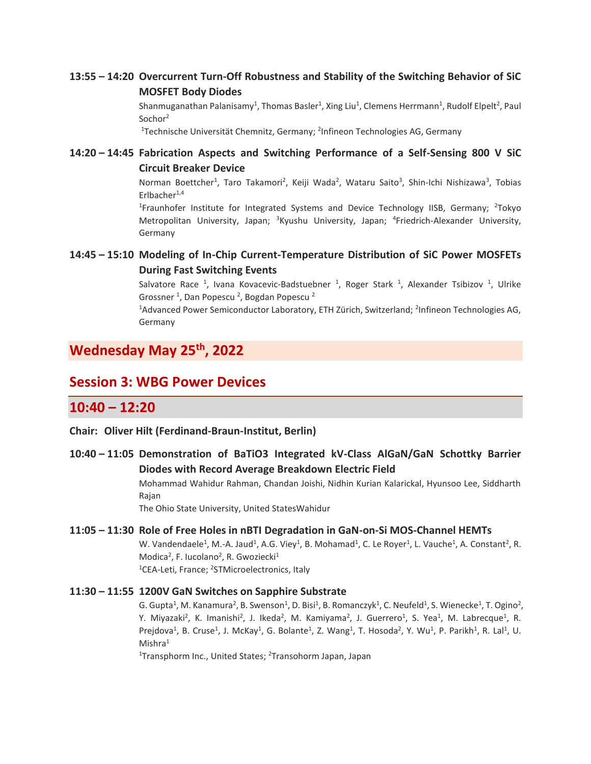### **13:55 – 14:20 Overcurrent Turn-Off Robustness and Stability of the Switching Behavior of SiC MOSFET Body Diodes**

Shanmuganathan Palanisamy<sup>1</sup>, Thomas Basler<sup>1</sup>, Xing Liu<sup>1</sup>, Clemens Herrmann<sup>1</sup>, Rudolf Elpelt<sup>2</sup>, Paul Sochor<sup>2</sup>

<sup>1</sup>Technische Universität Chemnitz, Germany; <sup>2</sup>Infineon Technologies AG, Germany

#### **14:20 – 14:45 Fabrication Aspects and Switching Performance of a Self-Sensing 800 V SiC Circuit Breaker Device**

Norman Boettcher<sup>1</sup>, Taro Takamori<sup>2</sup>, Keiji Wada<sup>2</sup>, Wataru Saito<sup>3</sup>, Shin-Ichi Nishizawa<sup>3</sup>, Tobias Erlbacher $1,4$ 

<sup>1</sup>Fraunhofer Institute for Integrated Systems and Device Technology IISB, Germany; <sup>2</sup>Tokyo Metropolitan University, Japan; <sup>3</sup>Kyushu University, Japan; <sup>4</sup>Friedrich-Alexander University, Germany

### **14:45 – 15:10 Modeling of In-Chip Current-Temperature Distribution of SiC Power MOSFETs During Fast Switching Events**

Salvatore Race <sup>1</sup>, Ivana Kovacevic-Badstuebner <sup>1</sup>, Roger Stark <sup>1</sup>, Alexander Tsibizov <sup>1</sup>, Ulrike Grossner <sup>1</sup>, Dan Popescu <sup>2</sup>, Bogdan Popescu <sup>2</sup>

 $^1$ Advanced Power Semiconductor Laboratory, ETH Zürich, Switzerland; <sup>2</sup>Infineon Technologies AG, Germany

## **Wednesday May 25th, 2022**

## **Session 3: WBG Power Devices**

## **10:40 – 12:20**

**Chair: Oliver Hilt (Ferdinand-Braun-Institut, Berlin)**

### **10:40 – 11:05 Demonstration of BaTiO3 Integrated kV-Class AlGaN/GaN Schottky Barrier Diodes with Record Average Breakdown Electric Field**

Mohammad Wahidur Rahman, Chandan Joishi, Nidhin Kurian Kalarickal, Hyunsoo Lee, Siddharth Rajan

The Ohio State University, United StatesWahidur

#### **11:05 – 11:30 Role of Free Holes in nBTI Degradation in GaN-on-Si MOS-Channel HEMTs**

W. Vandendaele<sup>1</sup>, M.-A. Jaud<sup>1</sup>, A.G. Viey<sup>1</sup>, B. Mohamad<sup>1</sup>, C. Le Royer<sup>1</sup>, L. Vauche<sup>1</sup>, A. Constant<sup>2</sup>, R. Modica<sup>2</sup>, F. Iucolano<sup>2</sup>, R. Gwoziecki<sup>1</sup> <sup>1</sup>CEA-Leti, France; <sup>2</sup>STMicroelectronics, Italy

#### **11:30 – 11:55 1200V GaN Switches on Sapphire Substrate**

G. Gupta<sup>1</sup>, M. Kanamura<sup>2</sup>, B. Swenson<sup>1</sup>, D. Bisi<sup>1</sup>, B. Romanczyk<sup>1</sup>, C. Neufeld<sup>1</sup>, S. Wienecke<sup>1</sup>, T. Ogino<sup>2</sup>, Y. Miyazaki<sup>2</sup>, K. Imanishi<sup>2</sup>, J. Ikeda<sup>2</sup>, M. Kamiyama<sup>2</sup>, J. Guerrero<sup>1</sup>, S. Yea<sup>1</sup>, M. Labrecque<sup>1</sup>, R. Prejdova<sup>1</sup>, B. Cruse<sup>1</sup>, J. McKay<sup>1</sup>, G. Bolante<sup>1</sup>, Z. Wang<sup>1</sup>, T. Hosoda<sup>2</sup>, Y. Wu<sup>1</sup>, P. Parikh<sup>1</sup>, R. Lal<sup>1</sup>, U.  $Mishra<sup>1</sup>$ 

<sup>1</sup>Transphorm Inc., United States; <sup>2</sup>Transohorm Japan, Japan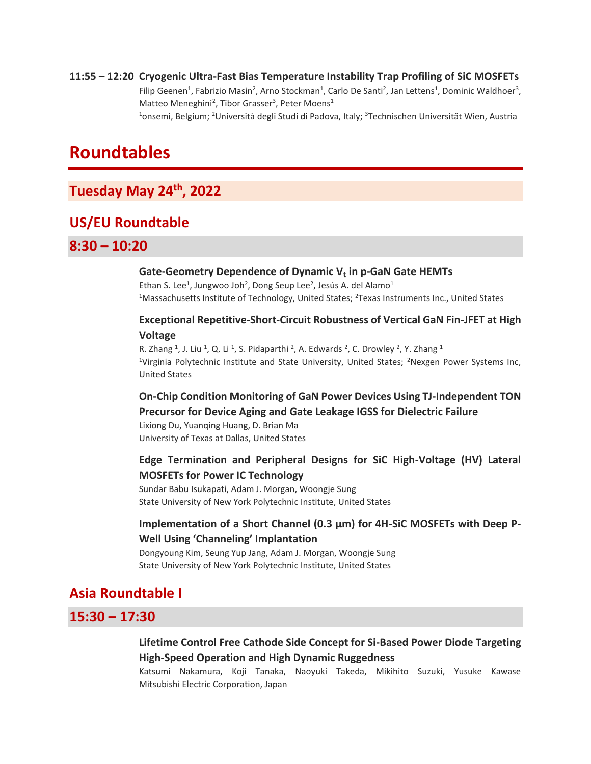**11:55 – 12:20 Cryogenic Ultra-Fast Bias Temperature Instability Trap Profiling of SiC MOSFETs** Filip Geenen<sup>1</sup>, Fabrizio Masin<sup>2</sup>, Arno Stockman<sup>1</sup>, Carlo De Santi<sup>2</sup>, Jan Lettens<sup>1</sup>, Dominic Waldhoer<sup>3</sup>, Matteo Meneghini<sup>2</sup>, Tibor Grasser<sup>3</sup>, Peter Moens<sup>1</sup> <sup>1</sup>onsemi, Belgium; <sup>2</sup>Università degli Studi di Padova, Italy; <sup>3</sup>Technischen Universität Wien, Austria

# **Roundtables**

## **Tuesday May 24th, 2022**

## **US/EU Roundtable**

### **8:30 – 10:20**

#### **Gate-Geometry Dependence of Dynamic V**ₜ **in p-GaN Gate HEMTs**

Ethan S. Lee<sup>1</sup>, Jungwoo Joh<sup>2</sup>, Dong Seup Lee<sup>2</sup>, Jesús A. del Alamo<sup>1</sup> <sup>1</sup>Massachusetts Institute of Technology, United States; <sup>2</sup>Texas Instruments Inc., United States

#### **Exceptional Repetitive-Short-Circuit Robustness of Vertical GaN Fin-JFET at High Voltage**

R. Zhang <sup>1</sup>, J. Liu <sup>1</sup>, Q. Li <sup>1</sup>, S. Pidaparthi <sup>2</sup>, A. Edwards <sup>2</sup>, C. Drowley <sup>2</sup>, Y. Zhang <sup>1</sup> <sup>1</sup>Virginia Polytechnic Institute and State University, United States; <sup>2</sup>Nexgen Power Systems Inc, United States

#### **On-Chip Condition Monitoring of GaN Power Devices Using TJ-Independent TON Precursor for Device Aging and Gate Leakage IGSS for Dielectric Failure**

Lixiong Du, Yuanqing Huang, D. Brian Ma University of Texas at Dallas, United States

### **Edge Termination and Peripheral Designs for SiC High-Voltage (HV) Lateral MOSFETs for Power IC Technology**

Sundar Babu Isukapati, Adam J. Morgan, Woongje Sung State University of New York Polytechnic Institute, United States

#### **Implementation of a Short Channel (0.3 µm) for 4H-SiC MOSFETs with Deep P-Well Using 'Channeling' Implantation**

Dongyoung Kim, Seung Yup Jang, Adam J. Morgan, Woongje Sung State University of New York Polytechnic Institute, United States

## **Asia Roundtable I**

## **15:30 – 17:30**

### **Lifetime Control Free Cathode Side Concept for Si-Based Power Diode Targeting High-Speed Operation and High Dynamic Ruggedness**

Katsumi Nakamura, Koji Tanaka, Naoyuki Takeda, Mikihito Suzuki, Yusuke Kawase Mitsubishi Electric Corporation, Japan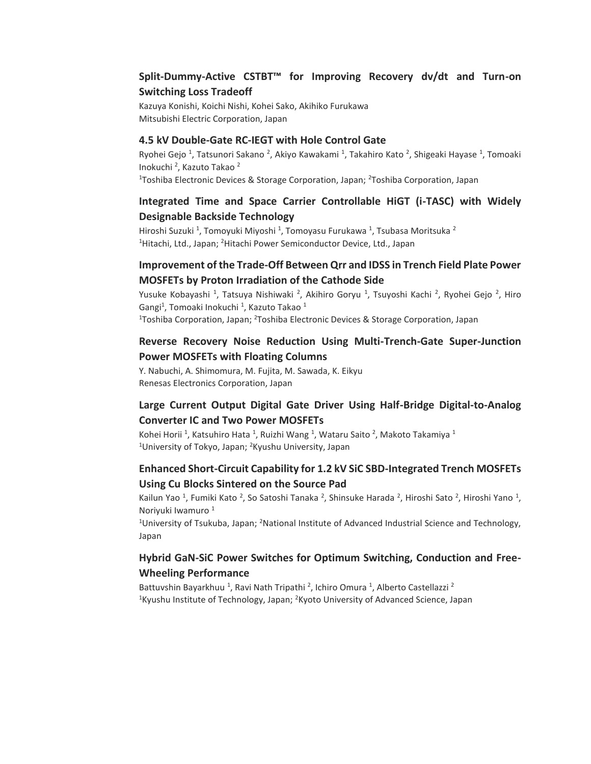#### **Split-Dummy-Active CSTBT™ for Improving Recovery dv/dt and Turn-on Switching Loss Tradeoff**

Kazuya Konishi, Koichi Nishi, Kohei Sako, Akihiko Furukawa Mitsubishi Electric Corporation, Japan

#### **4.5 kV Double-Gate RC-IEGT with Hole Control Gate**

Ryohei Gejo<sup>1</sup>, Tatsunori Sakano<sup>2</sup>, Akiyo Kawakami<sup>1</sup>, Takahiro Kato<sup>2</sup>, Shigeaki Hayase<sup>1</sup>, Tomoaki Inokuchi<sup>2</sup>, Kazuto Takao<sup>2</sup> <sup>1</sup>Toshiba Electronic Devices & Storage Corporation, Japan; <sup>2</sup>Toshiba Corporation, Japan

### **Integrated Time and Space Carrier Controllable HiGT (i-TASC) with Widely Designable Backside Technology**

Hiroshi Suzuki <sup>1</sup>, Tomoyuki Miyoshi <sup>1</sup>, Tomoyasu Furukawa <sup>1</sup>, Tsubasa Moritsuka <sup>2</sup> <sup>1</sup>Hitachi, Ltd., Japan; <sup>2</sup>Hitachi Power Semiconductor Device, Ltd., Japan

#### **Improvement of the Trade-Off Between Qrr and IDSS in Trench Field Plate Power MOSFETs by Proton Irradiation of the Cathode Side**

Yusuke Kobayashi <sup>1</sup>, Tatsuya Nishiwaki <sup>2</sup>, Akihiro Goryu <sup>1</sup>, Tsuyoshi Kachi <sup>2</sup>, Ryohei Gejo <sup>2</sup>, Hiro Gangi<sup>1</sup>, Tomoaki Inokuchi <sup>1</sup>, Kazuto Takao <sup>1</sup> <sup>1</sup>Toshiba Corporation, Japan; <sup>2</sup>Toshiba Electronic Devices & Storage Corporation, Japan

### **Reverse Recovery Noise Reduction Using Multi-Trench-Gate Super-Junction Power MOSFETs with Floating Columns**

Y. Nabuchi, A. Shimomura, M. Fujita, M. Sawada, K. Eikyu Renesas Electronics Corporation, Japan

### **Large Current Output Digital Gate Driver Using Half-Bridge Digital-to-Analog Converter IC and Two Power MOSFETs**

Kohei Horii <sup>1</sup>, Katsuhiro Hata <sup>1</sup>, Ruizhi Wang <sup>1</sup>, Wataru Saito <sup>2</sup>, Makoto Takamiya <sup>1</sup> <sup>1</sup>University of Tokyo, Japan; <sup>2</sup>Kyushu University, Japan

#### **Enhanced Short-Circuit Capability for 1.2 kV SiC SBD-Integrated Trench MOSFETs Using Cu Blocks Sintered on the Source Pad**

Kailun Yao <sup>1</sup>, Fumiki Kato <sup>2</sup>, So Satoshi Tanaka <sup>2</sup>, Shinsuke Harada <sup>2</sup>, Hiroshi Sato <sup>2</sup>, Hiroshi Yano <sup>1</sup>, Noriyuki Iwamuro<sup>1</sup>

<sup>1</sup>University of Tsukuba, Japan; <sup>2</sup>National Institute of Advanced Industrial Science and Technology, Japan

#### **Hybrid GaN-SiC Power Switches for Optimum Switching, Conduction and Free-Wheeling Performance**

Battuvshin Bayarkhuu <sup>1</sup>, Ravi Nath Tripathi <sup>2</sup>, Ichiro Omura <sup>1</sup>, Alberto Castellazzi <sup>2</sup> <sup>1</sup>Kyushu Institute of Technology, Japan;  ${}^{2}$ Kyoto University of Advanced Science, Japan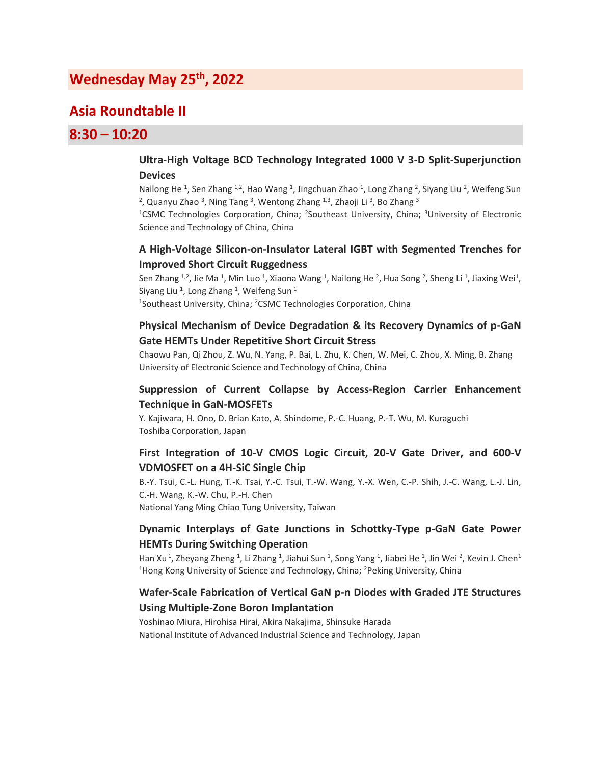## **Wednesday May 25 th, 2022**

## **Asia Roundtable II**

## **8:30 – 10:20**

#### **Ultra-High Voltage BCD Technology Integrated 1000 V 3-D Split-Superjunction Devices**

Nailong He <sup>1</sup>, Sen Zhang <sup>1,2</sup>, Hao Wang <sup>1</sup>, Jingchuan Zhao <sup>1</sup>, Long Zhang <sup>2</sup>, Siyang Liu <sup>2</sup>, Weifeng Sun <sup>2</sup>, Quanyu Zhao <sup>3</sup>, Ning Tang <sup>3</sup>, Wentong Zhang <sup>1,3</sup>, Zhaoji Li <sup>3</sup>, Bo Zhang <sup>3</sup>

<sup>1</sup>CSMC Technologies Corporation, China; <sup>2</sup>Southeast University, China; <sup>3</sup>University of Electronic Science and Technology of China, China

#### **A High-Voltage Silicon-on-Insulator Lateral IGBT with Segmented Trenches for Improved Short Circuit Ruggedness**

Sen Zhang <sup>1,2</sup>, Jie Ma <sup>1</sup>, Min Luo <sup>1</sup>, Xiaona Wang <sup>1</sup>, Nailong He <sup>2</sup>, Hua Song <sup>2</sup>, Sheng Li <sup>1</sup>, Jiaxing Wei<sup>1</sup>, Siyang Liu <sup>1</sup>, Long Zhang <sup>1</sup>, Weifeng Sun <sup>1</sup> <sup>1</sup>Southeast University, China; <sup>2</sup>CSMC Technologies Corporation, China

#### **Physical Mechanism of Device Degradation & its Recovery Dynamics of p-GaN Gate HEMTs Under Repetitive Short Circuit Stress**

Chaowu Pan, Qi Zhou, Z. Wu, N. Yang, P. Bai, L. Zhu, K. Chen, W. Mei, C. Zhou, X. Ming, B. Zhang University of Electronic Science and Technology of China, China

#### **Suppression of Current Collapse by Access-Region Carrier Enhancement Technique in GaN-MOSFETs**

Y. Kajiwara, H. Ono, D. Brian Kato, A. Shindome, P.-C. Huang, P.-T. Wu, M. Kuraguchi Toshiba Corporation, Japan

#### **First Integration of 10-V CMOS Logic Circuit, 20-V Gate Driver, and 600-V VDMOSFET on a 4H-SiC Single Chip**

B.-Y. Tsui, C.-L. Hung, T.-K. Tsai, Y.-C. Tsui, T.-W. Wang, Y.-X. Wen, C.-P. Shih, J.-C. Wang, L.-J. Lin, C.-H. Wang, K.-W. Chu, P.-H. Chen National Yang Ming Chiao Tung University, Taiwan

#### **Dynamic Interplays of Gate Junctions in Schottky-Type p-GaN Gate Power HEMTs During Switching Operation**

Han Xu<sup>1</sup>, Zheyang Zheng <sup>1</sup>, Li Zhang <sup>1</sup>, Jiahui Sun <sup>1</sup>, Song Yang <sup>1</sup>, Jiabei He <sup>1</sup>, Jin Wei <sup>2</sup>, Kevin J. Chen<sup>1</sup> <sup>1</sup>Hong Kong University of Science and Technology, China; <sup>2</sup>Peking University, China

#### **Wafer-Scale Fabrication of Vertical GaN p-n Diodes with Graded JTE Structures Using Multiple-Zone Boron Implantation**

Yoshinao Miura, Hirohisa Hirai, Akira Nakajima, Shinsuke Harada National Institute of Advanced Industrial Science and Technology, Japan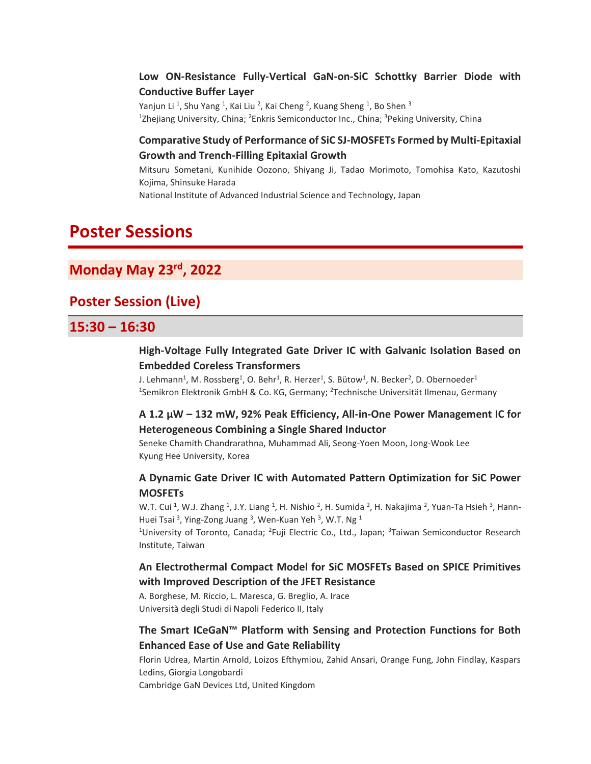### **Low ON-Resistance Fully-Vertical GaN-on-SiC Schottky Barrier Diode with Conductive Buffer Layer**

Yanjun Li<sup>1</sup>, Shu Yang <sup>1</sup>, Kai Liu <sup>2</sup>, Kai Cheng <sup>2</sup>, Kuang Sheng <sup>1</sup>, Bo Shen <sup>3</sup> <sup>1</sup>Zhejiang University, China; <sup>2</sup>Enkris Semiconductor Inc., China; <sup>3</sup>Peking University, China

#### **Comparative Study of Performance of SiC SJ-MOSFETs Formed by Multi-Epitaxial Growth and Trench-Filling Epitaxial Growth**

Mitsuru Sometani, Kunihide Oozono, Shiyang Ji, Tadao Morimoto, Tomohisa Kato, Kazutoshi Kojima, Shinsuke Harada

National Institute of Advanced Industrial Science and Technology, Japan

# **Poster Sessions**

## **Monday May 23rd, 2022**

## **Poster Session (Live)**

## **15:30 – 16:30**

#### **High-Voltage Fully Integrated Gate Driver IC with Galvanic Isolation Based on Embedded Coreless Transformers**

J. Lehmann<sup>1</sup>, M. Rossberg<sup>1</sup>, O. Behr<sup>1</sup>, R. Herzer<sup>1</sup>, S. Bütow<sup>1</sup>, N. Becker<sup>2</sup>, D. Obernoeder<sup>1</sup> <sup>1</sup>Semikron Elektronik GmbH & Co. KG, Germany; <sup>2</sup>Technische Universität Ilmenau, Germany

#### **A 1.2 µW – 132 mW, 92% Peak Efficiency, All-in-One Power Management IC for Heterogeneous Combining a Single Shared Inductor**

Seneke Chamith Chandrarathna, Muhammad Ali, Seong-Yoen Moon, Jong-Wook Lee Kyung Hee University, Korea

### **A Dynamic Gate Driver IC with Automated Pattern Optimization for SiC Power MOSFETs**

W.T. Cui <sup>1</sup>, W.J. Zhang <sup>1</sup>, J.Y. Liang <sup>1</sup>, H. Nishio <sup>2</sup>, H. Sumida <sup>2</sup>, H. Nakajima <sup>2</sup>, Yuan-Ta Hsieh <sup>3</sup>, Hann-Huei Tsai <sup>3</sup>, Ying-Zong Juang <sup>3</sup>, Wen-Kuan Yeh <sup>3</sup>, W.T. Ng <sup>1</sup>

<sup>1</sup>University of Toronto, Canada; <sup>2</sup>Fuji Electric Co., Ltd., Japan; <sup>3</sup>Taiwan Semiconductor Research Institute, Taiwan

### **An Electrothermal Compact Model for SiC MOSFETs Based on SPICE Primitives with Improved Description of the JFET Resistance**

A. Borghese, M. Riccio, L. Maresca, G. Breglio, A. Irace Università degli Studi di Napoli Federico II, Italy

### **The Smart ICeGaN™ Platform with Sensing and Protection Functions for Both Enhanced Ease of Use and Gate Reliability**

Florin Udrea, Martin Arnold, Loizos Efthymiou, Zahid Ansari, Orange Fung, John Findlay, Kaspars Ledins, Giorgia Longobardi Cambridge GaN Devices Ltd, United Kingdom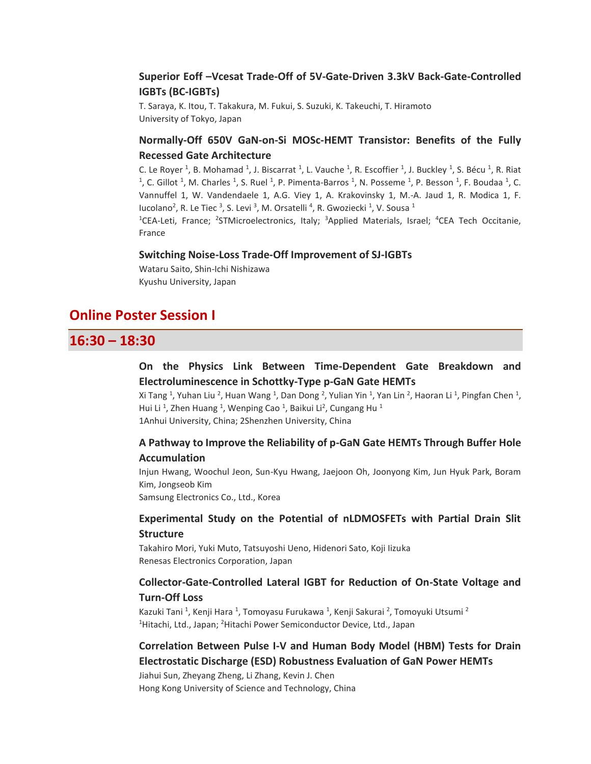#### **Superior Eoff –Vcesat Trade-Off of 5V-Gate-Driven 3.3kV Back-Gate-Controlled IGBTs (BC-IGBTs)**

T. Saraya, K. Itou, T. Takakura, M. Fukui, S. Suzuki, K. Takeuchi, T. Hiramoto University of Tokyo, Japan

### **Normally-Off 650V GaN-on-Si MOSc-HEMT Transistor: Benefits of the Fully Recessed Gate Architecture**

C. Le Royer <sup>1</sup>, B. Mohamad <sup>1</sup>, J. Biscarrat <sup>1</sup>, L. Vauche <sup>1</sup>, R. Escoffier <sup>1</sup>, J. Buckley <sup>1</sup>, S. Bécu <sup>1</sup>, R. Riat <sup>1</sup>, C. Gillot <sup>1</sup>, M. Charles <sup>1</sup>, S. Ruel <sup>1</sup>, P. Pimenta-Barros <sup>1</sup>, N. Posseme <sup>1</sup>, P. Besson <sup>1</sup>, F. Boudaa <sup>1</sup>, C. Vannuffel 1, W. Vandendaele 1, A.G. Viey 1, A. Krakovinsky 1, M.-A. Jaud 1, R. Modica 1, F. lucolano<sup>2</sup>, R. Le Tiec<sup>3</sup>, S. Levi<sup>3</sup>, M. Orsatelli<sup>4</sup>, R. Gwoziecki<sup>1</sup>, V. Sousa<sup>1</sup>

<sup>1</sup>CEA-Leti, France; <sup>2</sup>STMicroelectronics, Italy; <sup>3</sup>Applied Materials, Israel; <sup>4</sup>CEA Tech Occitanie, France

#### **Switching Noise-Loss Trade-Off Improvement of SJ-IGBTs**

Wataru Saito, Shin-Ichi Nishizawa Kyushu University, Japan

## **Online Poster Session I**

## **16:30 – 18:30**

### **On the Physics Link Between Time-Dependent Gate Breakdown and Electroluminescence in Schottky-Type p-GaN Gate HEMTs**

Xi Tang <sup>1</sup>, Yuhan Liu <sup>2</sup>, Huan Wang <sup>1</sup>, Dan Dong <sup>2</sup>, Yulian Yin <sup>1</sup>, Yan Lin <sup>2</sup>, Haoran Li <sup>1</sup>, Pingfan Chen <sup>1</sup>, Hui Li<sup>1</sup>, Zhen Huang<sup>1</sup>, Wenping Cao<sup>1</sup>, Baikui Li<sup>2</sup>, Cungang Hu<sup>1</sup> 1Anhui University, China; 2Shenzhen University, China

#### **A Pathway to Improve the Reliability of p-GaN Gate HEMTs Through Buffer Hole Accumulation**

Injun Hwang, Woochul Jeon, Sun-Kyu Hwang, Jaejoon Oh, Joonyong Kim, Jun Hyuk Park, Boram Kim, Jongseob Kim Samsung Electronics Co., Ltd., Korea

#### **Experimental Study on the Potential of nLDMOSFETs with Partial Drain Slit Structure**

Takahiro Mori, Yuki Muto, Tatsuyoshi Ueno, Hidenori Sato, Koji Iizuka Renesas Electronics Corporation, Japan

### **Collector-Gate-Controlled Lateral IGBT for Reduction of On-State Voltage and Turn-Off Loss**

Kazuki Tani <sup>1</sup>, Kenji Hara <sup>1</sup>, Tomoyasu Furukawa <sup>1</sup>, Kenji Sakurai <sup>2</sup>, Tomoyuki Utsumi <sup>2</sup> <sup>1</sup>Hitachi, Ltd., Japan; <sup>2</sup>Hitachi Power Semiconductor Device, Ltd., Japan

### **Correlation Between Pulse I-V and Human Body Model (HBM) Tests for Drain Electrostatic Discharge (ESD) Robustness Evaluation of GaN Power HEMTs**

Jiahui Sun, Zheyang Zheng, Li Zhang, Kevin J. Chen Hong Kong University of Science and Technology, China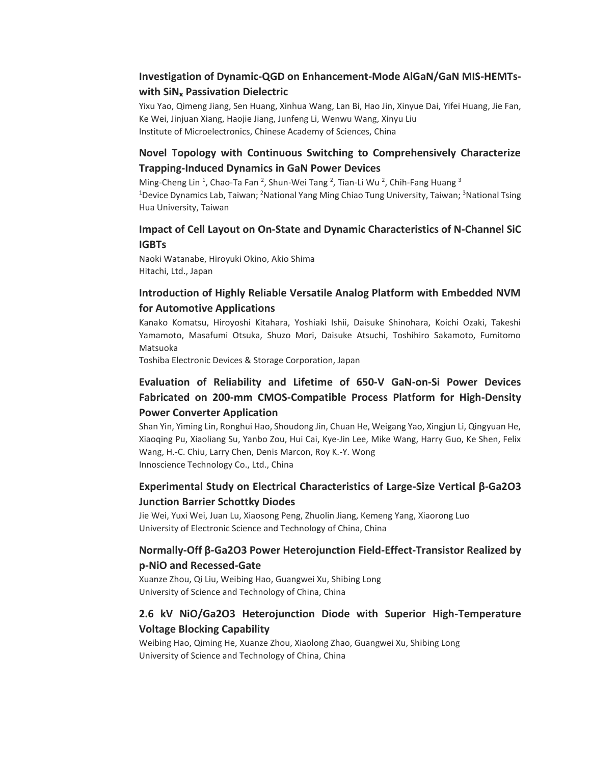### **Investigation of Dynamic-QGD on Enhancement-Mode AlGaN/GaN MIS-HEMTswith SiNₓ Passivation Dielectric**

Yixu Yao, Qimeng Jiang, Sen Huang, Xinhua Wang, Lan Bi, Hao Jin, Xinyue Dai, Yifei Huang, Jie Fan, Ke Wei, Jinjuan Xiang, Haojie Jiang, Junfeng Li, Wenwu Wang, Xinyu Liu Institute of Microelectronics, Chinese Academy of Sciences, China

### **Novel Topology with Continuous Switching to Comprehensively Characterize Trapping-Induced Dynamics in GaN Power Devices**

Ming-Cheng Lin<sup>1</sup>, Chao-Ta Fan<sup>2</sup>, Shun-Wei Tang<sup>2</sup>, Tian-Li Wu<sup>2</sup>, Chih-Fang Huang<sup>3</sup> <sup>1</sup>Device Dynamics Lab, Taiwan; <sup>2</sup>National Yang Ming Chiao Tung University, Taiwan; <sup>3</sup>National Tsing Hua University, Taiwan

#### **Impact of Cell Layout on On-State and Dynamic Characteristics of N-Channel SiC IGBTs**

Naoki Watanabe, Hiroyuki Okino, Akio Shima Hitachi, Ltd., Japan

### **Introduction of Highly Reliable Versatile Analog Platform with Embedded NVM for Automotive Applications**

Kanako Komatsu, Hiroyoshi Kitahara, Yoshiaki Ishii, Daisuke Shinohara, Koichi Ozaki, Takeshi Yamamoto, Masafumi Otsuka, Shuzo Mori, Daisuke Atsuchi, Toshihiro Sakamoto, Fumitomo Matsuoka

Toshiba Electronic Devices & Storage Corporation, Japan

### **Evaluation of Reliability and Lifetime of 650-V GaN-on-Si Power Devices Fabricated on 200-mm CMOS-Compatible Process Platform for High-Density Power Converter Application**

Shan Yin, Yiming Lin, Ronghui Hao, Shoudong Jin, Chuan He, Weigang Yao, Xingjun Li, Qingyuan He, Xiaoqing Pu, Xiaoliang Su, Yanbo Zou, Hui Cai, Kye-Jin Lee, Mike Wang, Harry Guo, Ke Shen, Felix Wang, H.-C. Chiu, Larry Chen, Denis Marcon, Roy K.-Y. Wong Innoscience Technology Co., Ltd., China

### **Experimental Study on Electrical Characteristics of Large-Size Vertical β-Ga2O3 Junction Barrier Schottky Diodes**

Jie Wei, Yuxi Wei, Juan Lu, Xiaosong Peng, Zhuolin Jiang, Kemeng Yang, Xiaorong Luo University of Electronic Science and Technology of China, China

### **Normally-Off β-Ga2O3 Power Heterojunction Field-Effect-Transistor Realized by p-NiO and Recessed-Gate**

Xuanze Zhou, Qi Liu, Weibing Hao, Guangwei Xu, Shibing Long University of Science and Technology of China, China

## **2.6 kV NiO/Ga2O3 Heterojunction Diode with Superior High-Temperature Voltage Blocking Capability**

Weibing Hao, Qiming He, Xuanze Zhou, Xiaolong Zhao, Guangwei Xu, Shibing Long University of Science and Technology of China, China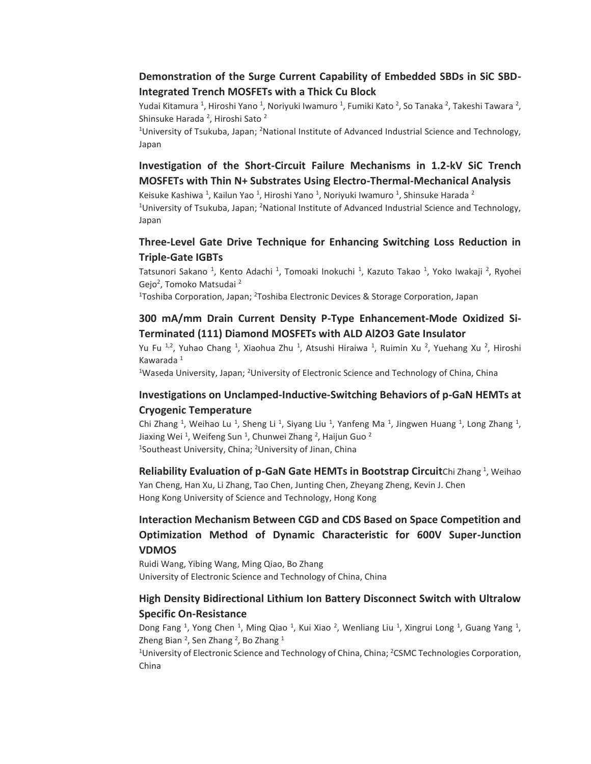### **Demonstration of the Surge Current Capability of Embedded SBDs in SiC SBD-Integrated Trench MOSFETs with a Thick Cu Block**

Yudai Kitamura <sup>1</sup>, Hiroshi Yano <sup>1</sup>, Noriyuki Iwamuro <sup>1</sup>, Fumiki Kato <sup>2</sup>, So Tanaka <sup>2</sup>, Takeshi Tawara <sup>2</sup>, Shinsuke Harada <sup>2</sup>, Hiroshi Sato <sup>2</sup>

<sup>1</sup>University of Tsukuba, Japan; <sup>2</sup>National Institute of Advanced Industrial Science and Technology, Japan

### **Investigation of the Short-Circuit Failure Mechanisms in 1.2-kV SiC Trench MOSFETs with Thin N+ Substrates Using Electro-Thermal-Mechanical Analysis**

Keisuke Kashiwa <sup>1</sup>, Kailun Yao <sup>1</sup>, Hiroshi Yano <sup>1</sup>, Noriyuki Iwamuro <sup>1</sup>, Shinsuke Harada <sup>2</sup> <sup>1</sup>University of Tsukuba, Japan; <sup>2</sup>National Institute of Advanced Industrial Science and Technology, Japan

#### **Three-Level Gate Drive Technique for Enhancing Switching Loss Reduction in Triple-Gate IGBTs**

Tatsunori Sakano <sup>1</sup>, Kento Adachi <sup>1</sup>, Tomoaki Inokuchi <sup>1</sup>, Kazuto Takao <sup>1</sup>, Yoko Iwakaji <sup>2</sup>, Ryohei Gejo<sup>2</sup>, Tomoko Matsudai <sup>2</sup>

<sup>1</sup>Toshiba Corporation, Japan; <sup>2</sup>Toshiba Electronic Devices & Storage Corporation, Japan

#### **300 mA/mm Drain Current Density P-Type Enhancement-Mode Oxidized Si-Terminated (111) Diamond MOSFETs with ALD Al2O3 Gate Insulator**

Yu Fu <sup>1,2</sup>, Yuhao Chang <sup>1</sup>, Xiaohua Zhu <sup>1</sup>, Atsushi Hiraiwa <sup>1</sup>, Ruimin Xu <sup>2</sup>, Yuehang Xu <sup>2</sup>, Hiroshi Kawarada<sup>1</sup>

<sup>1</sup>Waseda University, Japan; <sup>2</sup>University of Electronic Science and Technology of China, China

#### **Investigations on Unclamped-Inductive-Switching Behaviors of p-GaN HEMTs at Cryogenic Temperature**

Chi Zhang <sup>1</sup>, Weihao Lu <sup>1</sup>, Sheng Li <sup>1</sup>, Siyang Liu <sup>1</sup>, Yanfeng Ma <sup>1</sup>, Jingwen Huang <sup>1</sup>, Long Zhang <sup>1</sup>, Jiaxing Wei<sup>1</sup>, Weifeng Sun<sup>1</sup>, Chunwei Zhang<sup>2</sup>, Haijun Guo<sup>2</sup> <sup>1</sup>Southeast University, China; <sup>2</sup>University of Jinan, China

Reliability Evaluation of p-GaN Gate HEMTs in Bootstrap CircuitChi Zhang<sup>1</sup>, Weihao Yan Cheng, Han Xu, Li Zhang, Tao Chen, Junting Chen, Zheyang Zheng, Kevin J. Chen Hong Kong University of Science and Technology, Hong Kong

## **Interaction Mechanism Between CGD and CDS Based on Space Competition and Optimization Method of Dynamic Characteristic for 600V Super-Junction VDMOS**

Ruidi Wang, Yibing Wang, Ming Qiao, Bo Zhang University of Electronic Science and Technology of China, China

#### **High Density Bidirectional Lithium Ion Battery Disconnect Switch with Ultralow Specific On-Resistance**

Dong Fang <sup>1</sup>, Yong Chen <sup>1</sup>, Ming Qiao <sup>1</sup>, Kui Xiao <sup>2</sup>, Wenliang Liu <sup>1</sup>, Xingrui Long <sup>1</sup>, Guang Yang <sup>1</sup>, Zheng Bian <sup>2</sup>, Sen Zhang <sup>2</sup>, Bo Zhang <sup>1</sup>

<sup>1</sup>University of Electronic Science and Technology of China, China; <sup>2</sup>CSMC Technologies Corporation, China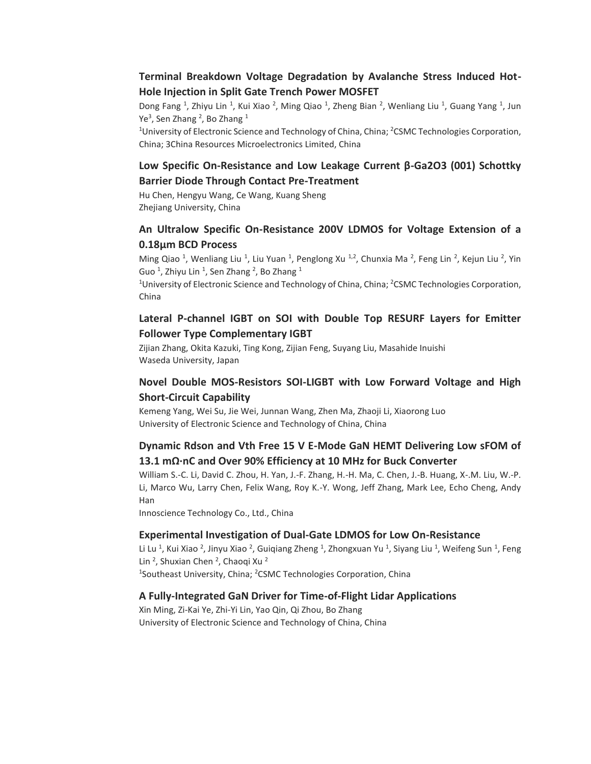#### **Terminal Breakdown Voltage Degradation by Avalanche Stress Induced Hot-Hole Injection in Split Gate Trench Power MOSFET**

Dong Fang <sup>1</sup>, Zhiyu Lin <sup>1</sup>, Kui Xiao <sup>2</sup>, Ming Qiao <sup>1</sup>, Zheng Bian <sup>2</sup>, Wenliang Liu <sup>1</sup>, Guang Yang <sup>1</sup>, Jun Ye<sup>3</sup>, Sen Zhang <sup>2</sup>, Bo Zhang <sup>1</sup>

<sup>1</sup>University of Electronic Science and Technology of China, China; <sup>2</sup>CSMC Technologies Corporation, China; 3China Resources Microelectronics Limited, China

### **Low Specific On-Resistance and Low Leakage Current β-Ga2O3 (001) Schottky Barrier Diode Through Contact Pre-Treatment**

Hu Chen, Hengyu Wang, Ce Wang, Kuang Sheng Zhejiang University, China

### **An Ultralow Specific On-Resistance 200V LDMOS for Voltage Extension of a 0.18µm BCD Process**

Ming Qiao<sup>1</sup>, Wenliang Liu<sup>1</sup>, Liu Yuan<sup>1</sup>, Penglong Xu<sup>1,2</sup>, Chunxia Ma<sup>2</sup>, Feng Lin<sup>2</sup>, Kejun Liu<sup>2</sup>, Yin Guo <sup>1</sup>, Zhiyu Lin <sup>1</sup>, Sen Zhang <sup>2</sup>, Bo Zhang <sup>1</sup>

<sup>1</sup>University of Electronic Science and Technology of China, China; <sup>2</sup>CSMC Technologies Corporation, China

#### **Lateral P-channel IGBT on SOI with Double Top RESURF Layers for Emitter Follower Type Complementary IGBT**

Zijian Zhang, Okita Kazuki, Ting Kong, Zijian Feng, Suyang Liu, Masahide Inuishi Waseda University, Japan

#### **Novel Double MOS-Resistors SOI-LIGBT with Low Forward Voltage and High Short-Circuit Capability**

Kemeng Yang, Wei Su, Jie Wei, Junnan Wang, Zhen Ma, Zhaoji Li, Xiaorong Luo University of Electronic Science and Technology of China, China

#### **Dynamic Rdson and Vth Free 15 V E-Mode GaN HEMT Delivering Low sFOM of 13.1 mΩ·nC and Over 90% Efficiency at 10 MHz for Buck Converter**

William S.-C. Li, David C. Zhou, H. Yan, J.-F. Zhang, H.-H. Ma, C. Chen, J.-B. Huang, X-.M. Liu, W.-P. Li, Marco Wu, Larry Chen, Felix Wang, Roy K.-Y. Wong, Jeff Zhang, Mark Lee, Echo Cheng, Andy Han

Innoscience Technology Co., Ltd., China

#### **Experimental Investigation of Dual-Gate LDMOS for Low On-Resistance**

Li Lu <sup>1</sup>, Kui Xiao <sup>2</sup>, Jinyu Xiao <sup>2</sup>, Guiqiang Zheng <sup>1</sup>, Zhongxuan Yu <sup>1</sup>, Siyang Liu <sup>1</sup>, Weifeng Sun <sup>1</sup>, Feng Lin<sup>2</sup>, Shuxian Chen<sup>2</sup>, Chaoqi Xu<sup>2</sup> <sup>1</sup>Southeast University, China; <sup>2</sup>CSMC Technologies Corporation, China

#### **A Fully-Integrated GaN Driver for Time-of-Flight Lidar Applications**

Xin Ming, Zi-Kai Ye, Zhi-Yi Lin, Yao Qin, Qi Zhou, Bo Zhang University of Electronic Science and Technology of China, China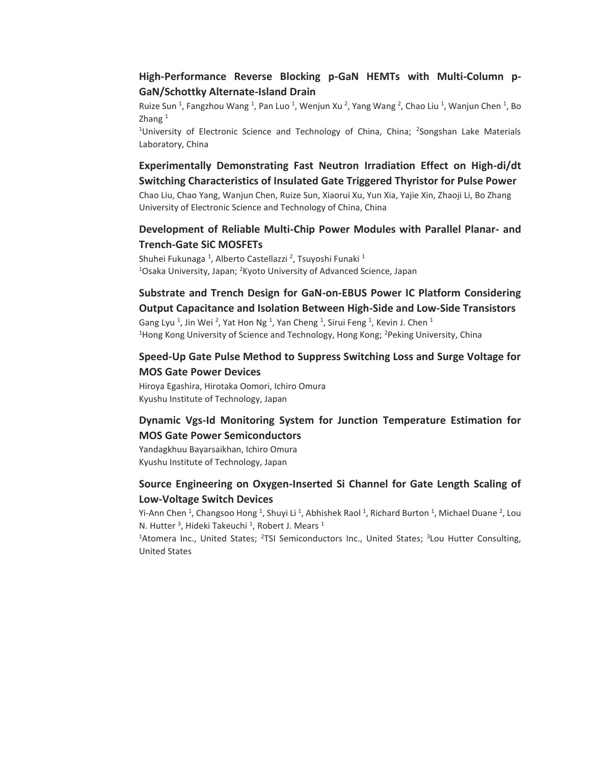### **High-Performance Reverse Blocking p-GaN HEMTs with Multi-Column p-GaN/Schottky Alternate-Island Drain**

Ruize Sun <sup>1</sup>, Fangzhou Wang <sup>1</sup>, Pan Luo <sup>1</sup>, Wenjun Xu <sup>2</sup>, Yang Wang <sup>2</sup>, Chao Liu <sup>1</sup>, Wanjun Chen <sup>1</sup>, Bo Zhang $1$ 

<sup>1</sup>University of Electronic Science and Technology of China, China; <sup>2</sup>Songshan Lake Materials Laboratory, China

**Experimentally Demonstrating Fast Neutron Irradiation Effect on High-di/dt Switching Characteristics of Insulated Gate Triggered Thyristor for Pulse Power**

Chao Liu, Chao Yang, Wanjun Chen, Ruize Sun, Xiaorui Xu, Yun Xia, Yajie Xin, Zhaoji Li, Bo Zhang University of Electronic Science and Technology of China, China

#### **Development of Reliable Multi-Chip Power Modules with Parallel Planar- and Trench-Gate SiC MOSFETs**

Shuhei Fukunaga <sup>1</sup>, Alberto Castellazzi <sup>2</sup>, Tsuyoshi Funaki <sup>1</sup> <sup>1</sup>Osaka University, Japan; <sup>2</sup>Kyoto University of Advanced Science, Japan

## **Substrate and Trench Design for GaN-on-EBUS Power IC Platform Considering Output Capacitance and Isolation Between High-Side and Low-Side Transistors**

Gang Lyu<sup>1</sup>, Jin Wei<sup>2</sup>, Yat Hon Ng<sup>1</sup>, Yan Cheng<sup>1</sup>, Sirui Feng<sup>1</sup>, Kevin J. Chen<sup>1</sup> <sup>1</sup>Hong Kong University of Science and Technology, Hong Kong; <sup>2</sup>Peking University, China

### **Speed-Up Gate Pulse Method to Suppress Switching Loss and Surge Voltage for MOS Gate Power Devices**

Hiroya Egashira, Hirotaka Oomori, Ichiro Omura Kyushu Institute of Technology, Japan

### **Dynamic Vgs-Id Monitoring System for Junction Temperature Estimation for MOS Gate Power Semiconductors**

Yandagkhuu Bayarsaikhan, Ichiro Omura Kyushu Institute of Technology, Japan

### **Source Engineering on Oxygen-Inserted Si Channel for Gate Length Scaling of Low-Voltage Switch Devices**

Yi-Ann Chen <sup>1</sup>, Changsoo Hong <sup>1</sup>, Shuyi Li <sup>1</sup>, Abhishek Raol <sup>1</sup>, Richard Burton <sup>1</sup>, Michael Duane <sup>2</sup>, Lou N. Hutter<sup>3</sup>, Hideki Takeuchi<sup>1</sup>, Robert J. Mears<sup>1</sup>

<sup>1</sup>Atomera Inc., United States; <sup>2</sup>TSI Semiconductors Inc., United States; <sup>3</sup>Lou Hutter Consulting, United States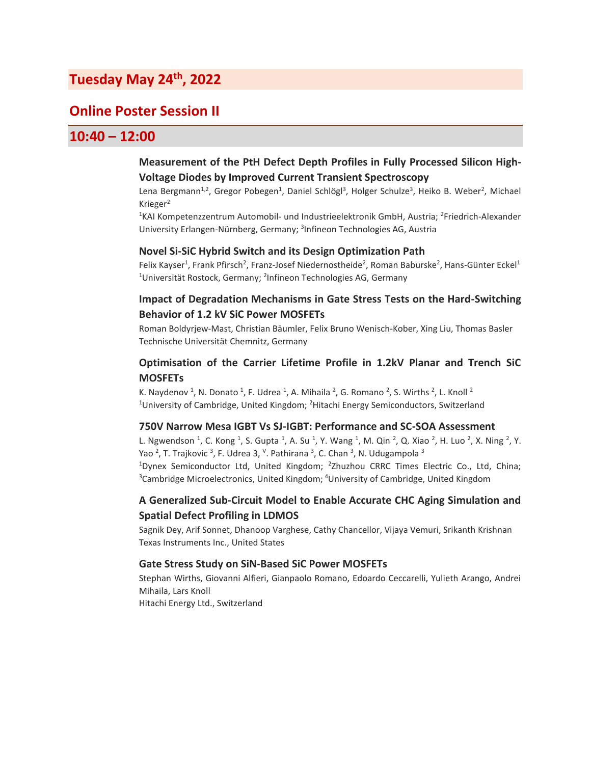## **Tuesday May 24th, 2022**

## **Online Poster Session II**

## **10:40 – 12:00**

#### **Measurement of the PtH Defect Depth Profiles in Fully Processed Silicon High-Voltage Diodes by Improved Current Transient Spectroscopy**

Lena Bergmann<sup>1,2</sup>, Gregor Pobegen<sup>1</sup>, Daniel Schlögl<sup>3</sup>, Holger Schulze<sup>3</sup>, Heiko B. Weber<sup>2</sup>, Michael Krieger<sup>2</sup>

<sup>1</sup>KAI Kompetenzzentrum Automobil- und Industrieelektronik GmbH, Austria; <sup>2</sup>Friedrich-Alexander University Erlangen-Nürnberg, Germany; <sup>3</sup>Infineon Technologies AG, Austria

#### **Novel Si-SiC Hybrid Switch and its Design Optimization Path**

Felix Kayser<sup>1</sup>, Frank Pfirsch<sup>2</sup>, Franz-Josef Niedernostheide<sup>2</sup>, Roman Baburske<sup>2</sup>, Hans-Günter Eckel<sup>1</sup> <sup>1</sup>Universität Rostock, Germany; <sup>2</sup>Infineon Technologies AG, Germany

#### **Impact of Degradation Mechanisms in Gate Stress Tests on the Hard-Switching Behavior of 1.2 kV SiC Power MOSFETs**

Roman Boldyrjew-Mast, Christian Bäumler, Felix Bruno Wenisch-Kober, Xing Liu, Thomas Basler Technische Universität Chemnitz, Germany

#### **Optimisation of the Carrier Lifetime Profile in 1.2kV Planar and Trench SiC MOSFETs**

K. Naydenov <sup>1</sup>, N. Donato <sup>1</sup>, F. Udrea <sup>1</sup>, A. Mihaila <sup>2</sup>, G. Romano <sup>2</sup>, S. Wirths <sup>2</sup>, L. Knoll <sup>2</sup> <sup>1</sup>University of Cambridge, United Kingdom;  ${}^{2}$ Hitachi Energy Semiconductors, Switzerland

#### **750V Narrow Mesa IGBT Vs SJ-IGBT: Performance and SC-SOA Assessment**

L. Ngwendson <sup>1</sup>, C. Kong <sup>1</sup>, S. Gupta <sup>1</sup>, A. Su <sup>1</sup>, Y. Wang <sup>1</sup>, M. Qin <sup>2</sup>, Q. Xiao <sup>2</sup>, H. Luo <sup>2</sup>, X. Ning <sup>2</sup>, Y. Yao <sup>2</sup>, T. Trajkovic <sup>3</sup>, F. Udrea 3, <sup>v</sup>. Pathirana <sup>3</sup>, C. Chan <sup>3</sup>, N. Udugampola <sup>3</sup> <sup>1</sup>Dynex Semiconductor Ltd, United Kingdom; <sup>2</sup>Zhuzhou CRRC Times Electric Co., Ltd, China; <sup>3</sup>Cambridge Microelectronics, United Kingdom; <sup>4</sup>University of Cambridge, United Kingdom

#### **A Generalized Sub-Circuit Model to Enable Accurate CHC Aging Simulation and Spatial Defect Profiling in LDMOS**

Sagnik Dey, Arif Sonnet, Dhanoop Varghese, Cathy Chancellor, Vijaya Vemuri, Srikanth Krishnan Texas Instruments Inc., United States

#### **Gate Stress Study on SiN-Based SiC Power MOSFETs**

Stephan Wirths, Giovanni Alfieri, Gianpaolo Romano, Edoardo Ceccarelli, Yulieth Arango, Andrei Mihaila, Lars Knoll Hitachi Energy Ltd., Switzerland